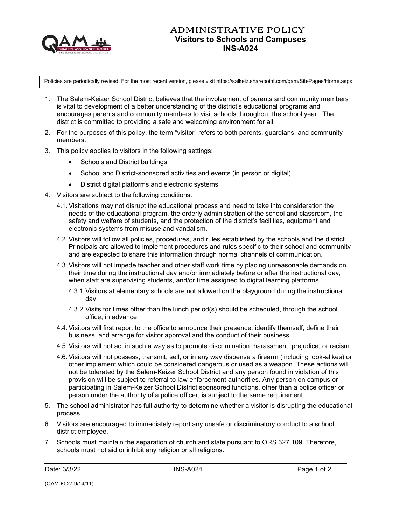

## ADMINISTRATIVE POLICY **Visitors to Schools and Campuses INS-A024**

Policies are periodically revised. For the most recent version, please visit https://salkeiz.sharepoint.com/qam/SitePages/Home.aspx

- 1. The Salem-Keizer School District believes that the involvement of parents and community members is vital to development of a better understanding of the district's educational programs and encourages parents and community members to visit schools throughout the school year. The district is committed to providing a safe and welcoming environment for all.
- 2. For the purposes of this policy, the term "visitor" refers to both parents, guardians, and community members.
- 3. This policy applies to visitors in the following settings:
	- Schools and District buildings
	- School and District-sponsored activities and events (in person or digital)
	- District digital platforms and electronic systems
- 4. Visitors are subject to the following conditions:
	- 4.1. Visitations may not disrupt the educational process and need to take into consideration the needs of the educational program, the orderly administration of the school and classroom, the safety and welfare of students, and the protection of the district's facilities, equipment and electronic systems from misuse and vandalism.
	- 4.2. Visitors will follow all policies, procedures, and rules established by the schools and the district. Principals are allowed to implement procedures and rules specific to their school and community and are expected to share this information through normal channels of communication.
	- 4.3. Visitors will not impede teacher and other staff work time by placing unreasonable demands on their time during the instructional day and/or immediately before or after the instructional day, when staff are supervising students, and/or time assigned to digital learning platforms.
		- 4.3.1.Visitors at elementary schools are not allowed on the playground during the instructional day.
		- 4.3.2.Visits for times other than the lunch period(s) should be scheduled, through the school office, in advance.
	- 4.4. Visitors will first report to the office to announce their presence, identify themself, define their business, and arrange for visitor approval and the conduct of their business.
	- 4.5. Visitors will not act in such a way as to promote discrimination, harassment, prejudice, or racism.
	- 4.6. Visitors will not possess, transmit, sell, or in any way dispense a firearm (including look-alikes) or other implement which could be considered dangerous or used as a weapon. These actions will not be tolerated by the Salem-Keizer School District and any person found in violation of this provision will be subject to referral to law enforcement authorities. Any person on campus or participating in Salem-Keizer School District sponsored functions, other than a police officer or person under the authority of a police officer, is subject to the same requirement.
- 5. The school administrator has full authority to determine whether a visitor is disrupting the educational process.
- 6. Visitors are encouraged to immediately report any unsafe or discriminatory conduct to a school district employee.
- 7. Schools must maintain the separation of church and state pursuant to ORS 327.109. Therefore, schools must not aid or inhibit any religion or all religions.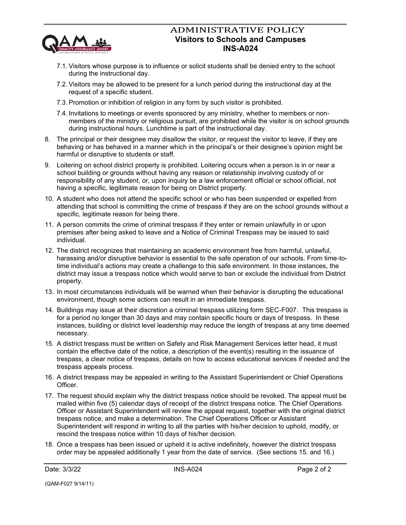

## ADMINISTRATIVE POLICY **Visitors to Schools and Campuses INS-A024**

- 7.1. Visitors whose purpose is to influence or solicit students shall be denied entry to the school during the instructional day.
- 7.2. Visitors may be allowed to be present for a lunch period during the instructional day at the request of a specific student.
- 7.3. Promotion or inhibition of religion in any form by such visitor is prohibited.
- 7.4. Invitations to meetings or events sponsored by any ministry, whether to members or nonmembers of the ministry or religious pursuit, are prohibited while the visitor is on school grounds during instructional hours. Lunchtime is part of the instructional day.
- 8. The principal or their designee may disallow the visitor, or request the visitor to leave, if they are behaving or has behaved in a manner which in the principal's or their designee's opinion might be harmful or disruptive to students or staff.
- 9. Loitering on school district property is prohibited. Loitering occurs when a person is in or near a school building or grounds without having any reason or relationship involving custody of or responsibility of any student, or, upon inquiry be a law enforcement official or school official, not having a specific, legitimate reason for being on District property.
- 10. A student who does not attend the specific school or who has been suspended or expelled from attending that school is committing the crime of trespass if they are on the school grounds without a specific, legitimate reason for being there.
- 11. A person commits the crime of criminal trespass if they enter or remain unlawfully in or upon premises after being asked to leave and a Notice of Criminal Trespass may be issued to said individual.
- 12. The district recognizes that maintaining an academic environment free from harmful, unlawful, harassing and/or disruptive behavior is essential to the safe operation of our schools. From time-totime individual's actions may create a challenge to this safe environment. In those instances, the district may issue a trespass notice which would serve to ban or exclude the individual from District property.
- 13. In most circumstances individuals will be warned when their behavior is disrupting the educational environment, though some actions can result in an immediate trespass.
- 14. Buildings may issue at their discretion a criminal trespass utilizing form SEC-F007. This trespass is for a period no longer than 30 days and may contain specific hours or days of trespass. In these instances, building or district level leadership may reduce the length of trespass at any time deemed necessary.
- 15. A district trespass must be written on Safety and Risk Management Services letter head, it must contain the effective date of the notice, a description of the event(s) resulting in the issuance of trespass, a clear notice of trespass, details on how to access educational services if needed and the trespass appeals process.
- 16. A district trespass may be appealed in writing to the Assistant Superintendent or Chief Operations Officer.
- 17. The request should explain why the district trespass notice should be revoked. The appeal must be mailed within five (5) calendar days of receipt of the district trespass notice. The Chief Operations Officer or Assistant Superintendent will review the appeal request, together with the original district trespass notice, and make a determination. The Chief Operations Officer or Assistant Superintendent will respond in writing to all the parties with his/her decision to uphold, modify, or rescind the trespass notice within 10 days of his/her decision.
- 18. Once a trespass has been issued or upheld it is active indefinitely, however the district trespass order may be appealed additionally 1 year from the date of service. (See sections 15. and 16.)